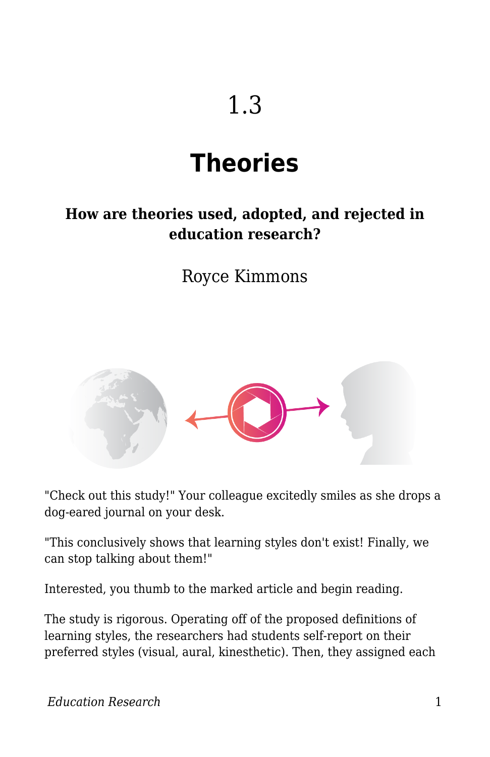# **Theories**

#### **How are theories used, adopted, and rejected in education research?**

Royce Kimmons



"Check out this study!" Your colleague excitedly smiles as she drops a dog-eared journal on your desk.

"This conclusively shows that learning styles don't exist! Finally, we can stop talking about them!"

Interested, you thumb to the marked article and begin reading.

The study is rigorous. Operating off of the proposed definitions of learning styles, the researchers had students self-report on their preferred styles (visual, aural, kinesthetic). Then, they assigned each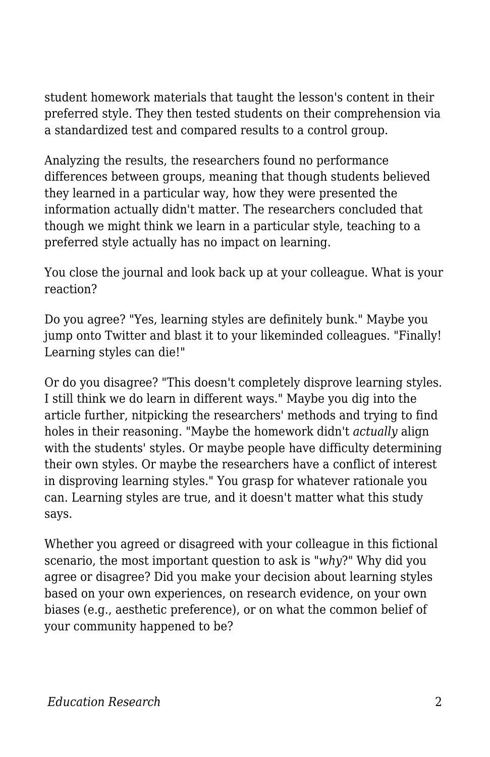student homework materials that taught the lesson's content in their preferred style. They then tested students on their comprehension via a standardized test and compared results to a control group.

Analyzing the results, the researchers found no performance differences between groups, meaning that though students believed they learned in a particular way, how they were presented the information actually didn't matter. The researchers concluded that though we might think we learn in a particular style, teaching to a preferred style actually has no impact on learning.

You close the journal and look back up at your colleague. What is your reaction?

Do you agree? "Yes, learning styles are definitely bunk." Maybe you jump onto Twitter and blast it to your likeminded colleagues. "Finally! Learning styles can die!"

Or do you disagree? "This doesn't completely disprove learning styles. I still think we do learn in different ways." Maybe you dig into the article further, nitpicking the researchers' methods and trying to find holes in their reasoning. "Maybe the homework didn't *actually* align with the students' styles. Or maybe people have difficulty determining their own styles. Or maybe the researchers have a conflict of interest in disproving learning styles." You grasp for whatever rationale you can. Learning styles are true, and it doesn't matter what this study says.

Whether you agreed or disagreed with your colleague in this fictional scenario, the most important question to ask is "*why*?" Why did you agree or disagree? Did you make your decision about learning styles based on your own experiences, on research evidence, on your own biases (e.g., aesthetic preference), or on what the common belief of your community happened to be?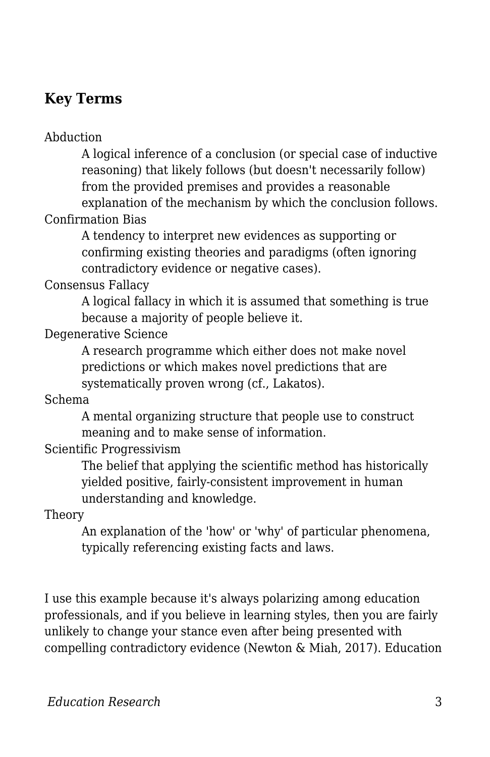#### **Key Terms**

Abduction

A logical inference of a conclusion (or special case of inductive reasoning) that likely follows (but doesn't necessarily follow) from the provided premises and provides a reasonable

explanation of the mechanism by which the conclusion follows. Confirmation Bias

A tendency to interpret new evidences as supporting or confirming existing theories and paradigms (often ignoring contradictory evidence or negative cases).

Consensus Fallacy

A logical fallacy in which it is assumed that something is true because a majority of people believe it.

Degenerative Science

A research programme which either does not make novel predictions or which makes novel predictions that are systematically proven wrong (cf., Lakatos).

Schema

A mental organizing structure that people use to construct meaning and to make sense of information.

Scientific Progressivism

The belief that applying the scientific method has historically yielded positive, fairly-consistent improvement in human understanding and knowledge.

Theory

An explanation of the 'how' or 'why' of particular phenomena, typically referencing existing facts and laws.

I use this example because it's always polarizing among education professionals, and if you believe in learning styles, then you are fairly unlikely to change your stance even after being presented with compelling contradictory evidence (Newton & Miah, 2017). Education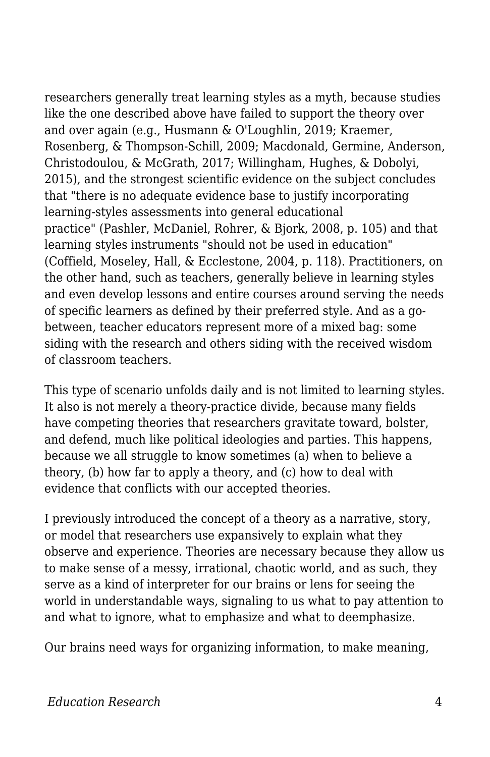researchers generally treat learning styles as a myth, because studies like the one described above have failed to support the theory over and over again (e.g., Husmann & O'Loughlin, 2019; Kraemer, Rosenberg, & Thompson-Schill, 2009; Macdonald, Germine, Anderson, Christodoulou, & McGrath, 2017; Willingham, Hughes, & Dobolyi, 2015), and the strongest scientific evidence on the subject concludes that "there is no adequate evidence base to justify incorporating learning-styles assessments into general educational practice" (Pashler, McDaniel, Rohrer, & Bjork, 2008, p. 105) and that learning styles instruments "should not be used in education" (Coffield, Moseley, Hall, & Ecclestone, 2004, p. 118). Practitioners, on the other hand, such as teachers, generally believe in learning styles and even develop lessons and entire courses around serving the needs of specific learners as defined by their preferred style. And as a gobetween, teacher educators represent more of a mixed bag: some siding with the research and others siding with the received wisdom of classroom teachers.

This type of scenario unfolds daily and is not limited to learning styles. It also is not merely a theory-practice divide, because many fields have competing theories that researchers gravitate toward, bolster, and defend, much like political ideologies and parties. This happens, because we all struggle to know sometimes (a) when to believe a theory, (b) how far to apply a theory, and (c) how to deal with evidence that conflicts with our accepted theories.

I previously introduced the concept of a theory as a narrative, story, or model that researchers use expansively to explain what they observe and experience. Theories are necessary because they allow us to make sense of a messy, irrational, chaotic world, and as such, they serve as a kind of interpreter for our brains or lens for seeing the world in understandable ways, signaling to us what to pay attention to and what to ignore, what to emphasize and what to deemphasize.

Our brains need ways for organizing information, to make meaning,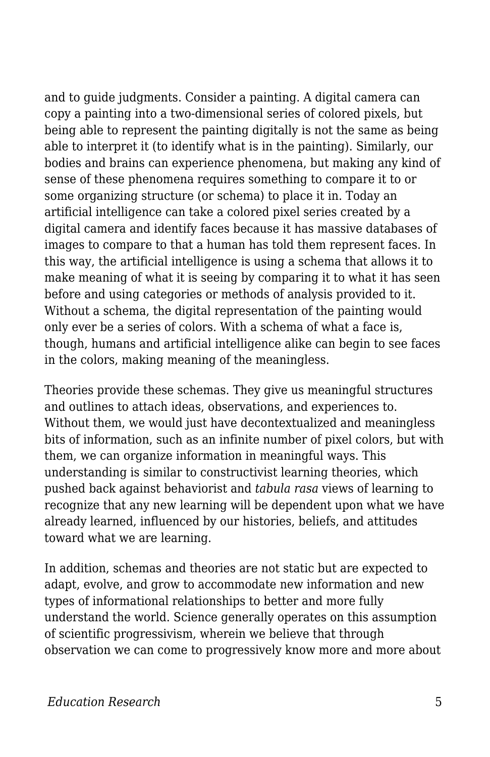and to guide judgments. Consider a painting. A digital camera can copy a painting into a two-dimensional series of colored pixels, but being able to represent the painting digitally is not the same as being able to interpret it (to identify what is in the painting). Similarly, our bodies and brains can experience phenomena, but making any kind of sense of these phenomena requires something to compare it to or some organizing structure (or schema) to place it in. Today an artificial intelligence can take a colored pixel series created by a digital camera and identify faces because it has massive databases of images to compare to that a human has told them represent faces. In this way, the artificial intelligence is using a schema that allows it to make meaning of what it is seeing by comparing it to what it has seen before and using categories or methods of analysis provided to it. Without a schema, the digital representation of the painting would only ever be a series of colors. With a schema of what a face is, though, humans and artificial intelligence alike can begin to see faces in the colors, making meaning of the meaningless.

Theories provide these schemas. They give us meaningful structures and outlines to attach ideas, observations, and experiences to. Without them, we would just have decontextualized and meaningless bits of information, such as an infinite number of pixel colors, but with them, we can organize information in meaningful ways. This understanding is similar to constructivist learning theories, which pushed back against behaviorist and *tabula rasa* views of learning to recognize that any new learning will be dependent upon what we have already learned, influenced by our histories, beliefs, and attitudes toward what we are learning.

In addition, schemas and theories are not static but are expected to adapt, evolve, and grow to accommodate new information and new types of informational relationships to better and more fully understand the world. Science generally operates on this assumption of scientific progressivism, wherein we believe that through observation we can come to progressively know more and more about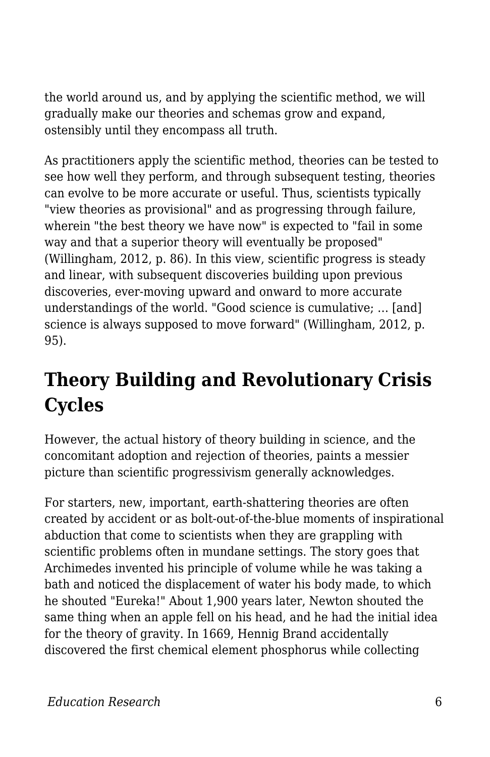the world around us, and by applying the scientific method, we will gradually make our theories and schemas grow and expand, ostensibly until they encompass all truth.

As practitioners apply the scientific method, theories can be tested to see how well they perform, and through subsequent testing, theories can evolve to be more accurate or useful. Thus, scientists typically "view theories as provisional" and as progressing through failure, wherein "the best theory we have now" is expected to "fail in some way and that a superior theory will eventually be proposed" (Willingham, 2012, p. 86). In this view, scientific progress is steady and linear, with subsequent discoveries building upon previous discoveries, ever-moving upward and onward to more accurate understandings of the world. "Good science is cumulative; … [and] science is always supposed to move forward" (Willingham, 2012, p. 95).

## **Theory Building and Revolutionary Crisis Cycles**

However, the actual history of theory building in science, and the concomitant adoption and rejection of theories, paints a messier picture than scientific progressivism generally acknowledges.

For starters, new, important, earth-shattering theories are often created by accident or as bolt-out-of-the-blue moments of inspirational abduction that come to scientists when they are grappling with scientific problems often in mundane settings. The story goes that Archimedes invented his principle of volume while he was taking a bath and noticed the displacement of water his body made, to which he shouted "Eureka!" About 1,900 years later, Newton shouted the same thing when an apple fell on his head, and he had the initial idea for the theory of gravity. In 1669, Hennig Brand accidentally discovered the first chemical element phosphorus while collecting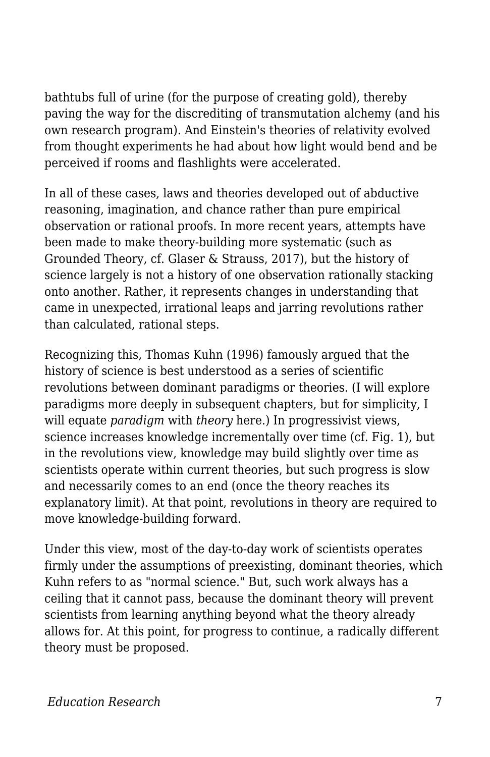bathtubs full of urine (for the purpose of creating gold), thereby paving the way for the discrediting of transmutation alchemy (and his own research program). And Einstein's theories of relativity evolved from thought experiments he had about how light would bend and be perceived if rooms and flashlights were accelerated.

In all of these cases, laws and theories developed out of abductive reasoning, imagination, and chance rather than pure empirical observation or rational proofs. In more recent years, attempts have been made to make theory-building more systematic (such as Grounded Theory, cf. Glaser & Strauss, 2017), but the history of science largely is not a history of one observation rationally stacking onto another. Rather, it represents changes in understanding that came in unexpected, irrational leaps and jarring revolutions rather than calculated, rational steps.

Recognizing this, Thomas Kuhn (1996) famously argued that the history of science is best understood as a series of scientific revolutions between dominant paradigms or theories. (I will explore paradigms more deeply in subsequent chapters, but for simplicity, I will equate *paradigm* with *theory* here.) In progressivist views, science increases knowledge incrementally over time (cf. Fig. 1), but in the revolutions view, knowledge may build slightly over time as scientists operate within current theories, but such progress is slow and necessarily comes to an end (once the theory reaches its explanatory limit). At that point, revolutions in theory are required to move knowledge-building forward.

Under this view, most of the day-to-day work of scientists operates firmly under the assumptions of preexisting, dominant theories, which Kuhn refers to as "normal science." But, such work always has a ceiling that it cannot pass, because the dominant theory will prevent scientists from learning anything beyond what the theory already allows for. At this point, for progress to continue, a radically different theory must be proposed.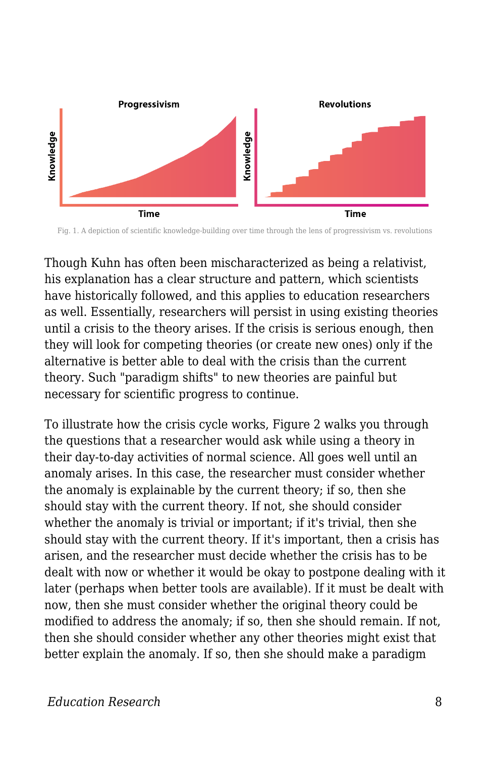

Fig. 1. A depiction of scientific knowledge-building over time through the lens of progressivism vs. revolutions

Though Kuhn has often been mischaracterized as being a relativist, his explanation has a clear structure and pattern, which scientists have historically followed, and this applies to education researchers as well. Essentially, researchers will persist in using existing theories until a crisis to the theory arises. If the crisis is serious enough, then they will look for competing theories (or create new ones) only if the alternative is better able to deal with the crisis than the current theory. Such "paradigm shifts" to new theories are painful but necessary for scientific progress to continue.

To illustrate how the crisis cycle works, Figure 2 walks you through the questions that a researcher would ask while using a theory in their day-to-day activities of normal science. All goes well until an anomaly arises. In this case, the researcher must consider whether the anomaly is explainable by the current theory; if so, then she should stay with the current theory. If not, she should consider whether the anomaly is trivial or important; if it's trivial, then she should stay with the current theory. If it's important, then a crisis has arisen, and the researcher must decide whether the crisis has to be dealt with now or whether it would be okay to postpone dealing with it later (perhaps when better tools are available). If it must be dealt with now, then she must consider whether the original theory could be modified to address the anomaly; if so, then she should remain. If not, then she should consider whether any other theories might exist that better explain the anomaly. If so, then she should make a paradigm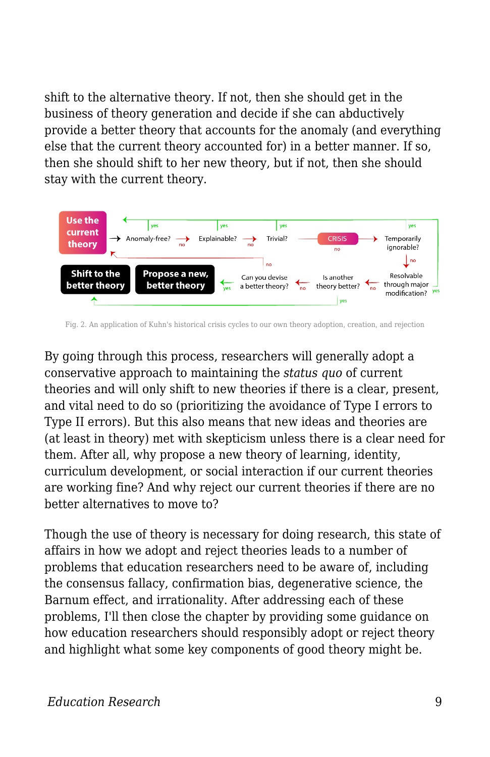shift to the alternative theory. If not, then she should get in the business of theory generation and decide if she can abductively provide a better theory that accounts for the anomaly (and everything else that the current theory accounted for) in a better manner. If so, then she should shift to her new theory, but if not, then she should stay with the current theory.



Fig. 2. An application of Kuhn's historical crisis cycles to our own theory adoption, creation, and rejection

By going through this process, researchers will generally adopt a conservative approach to maintaining the *status quo* of current theories and will only shift to new theories if there is a clear, present, and vital need to do so (prioritizing the avoidance of Type I errors to Type II errors). But this also means that new ideas and theories are (at least in theory) met with skepticism unless there is a clear need for them. After all, why propose a new theory of learning, identity, curriculum development, or social interaction if our current theories are working fine? And why reject our current theories if there are no better alternatives to move to?

Though the use of theory is necessary for doing research, this state of affairs in how we adopt and reject theories leads to a number of problems that education researchers need to be aware of, including the consensus fallacy, confirmation bias, degenerative science, the Barnum effect, and irrationality. After addressing each of these problems, I'll then close the chapter by providing some guidance on how education researchers should responsibly adopt or reject theory and highlight what some key components of good theory might be.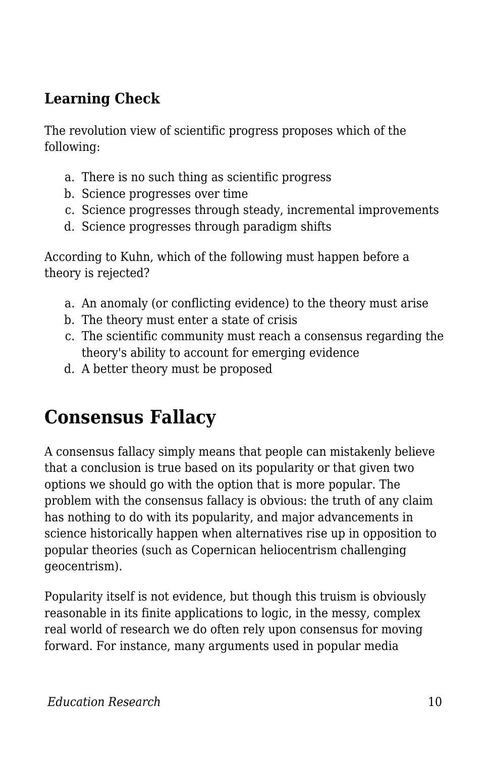### **Learning Check**

The revolution view of scientific progress proposes which of the following:

- a. There is no such thing as scientific progress
- b. Science progresses over time
- c. Science progresses through steady, incremental improvements
- d. Science progresses through paradigm shifts

According to Kuhn, which of the following must happen before a theory is rejected?

- a. An anomaly (or conflicting evidence) to the theory must arise
- b. The theory must enter a state of crisis
- c. The scientific community must reach a consensus regarding the theory's ability to account for emerging evidence
- d. A better theory must be proposed

### **Consensus Fallacy**

A consensus fallacy simply means that people can mistakenly believe that a conclusion is true based on its popularity or that given two options we should go with the option that is more popular. The problem with the consensus fallacy is obvious: the truth of any claim has nothing to do with its popularity, and major advancements in science historically happen when alternatives rise up in opposition to popular theories (such as Copernican heliocentrism challenging geocentrism).

Popularity itself is not evidence, but though this truism is obviously reasonable in its finite applications to logic, in the messy, complex real world of research we do often rely upon consensus for moving forward. For instance, many arguments used in popular media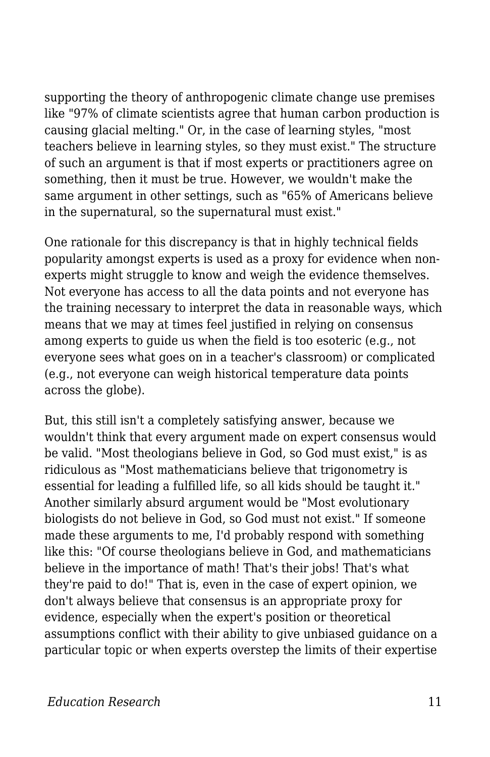supporting the theory of anthropogenic climate change use premises like "97% of climate scientists agree that human carbon production is causing glacial melting." Or, in the case of learning styles, "most teachers believe in learning styles, so they must exist." The structure of such an argument is that if most experts or practitioners agree on something, then it must be true. However, we wouldn't make the same argument in other settings, such as "65% of Americans believe in the supernatural, so the supernatural must exist."

One rationale for this discrepancy is that in highly technical fields popularity amongst experts is used as a proxy for evidence when nonexperts might struggle to know and weigh the evidence themselves. Not everyone has access to all the data points and not everyone has the training necessary to interpret the data in reasonable ways, which means that we may at times feel justified in relying on consensus among experts to guide us when the field is too esoteric (e.g., not everyone sees what goes on in a teacher's classroom) or complicated (e.g., not everyone can weigh historical temperature data points across the globe).

But, this still isn't a completely satisfying answer, because we wouldn't think that every argument made on expert consensus would be valid. "Most theologians believe in God, so God must exist," is as ridiculous as "Most mathematicians believe that trigonometry is essential for leading a fulfilled life, so all kids should be taught it." Another similarly absurd argument would be "Most evolutionary biologists do not believe in God, so God must not exist." If someone made these arguments to me, I'd probably respond with something like this: "Of course theologians believe in God, and mathematicians believe in the importance of math! That's their jobs! That's what they're paid to do!" That is, even in the case of expert opinion, we don't always believe that consensus is an appropriate proxy for evidence, especially when the expert's position or theoretical assumptions conflict with their ability to give unbiased guidance on a particular topic or when experts overstep the limits of their expertise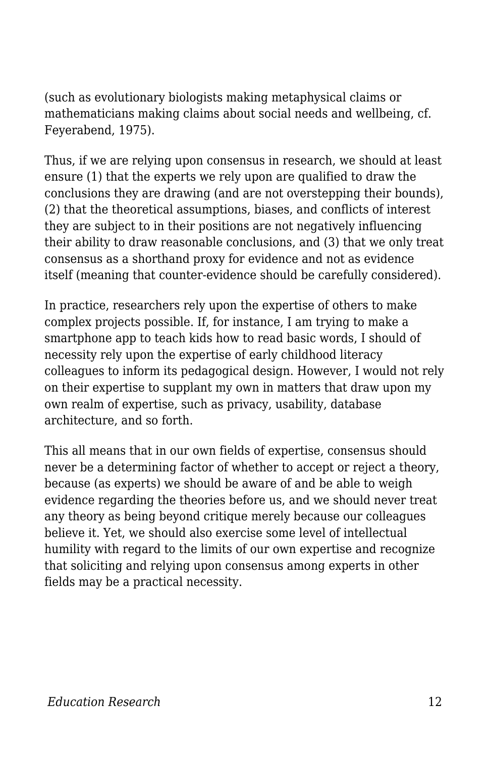(such as evolutionary biologists making metaphysical claims or mathematicians making claims about social needs and wellbeing, cf. Feyerabend, 1975).

Thus, if we are relying upon consensus in research, we should at least ensure (1) that the experts we rely upon are qualified to draw the conclusions they are drawing (and are not overstepping their bounds), (2) that the theoretical assumptions, biases, and conflicts of interest they are subject to in their positions are not negatively influencing their ability to draw reasonable conclusions, and (3) that we only treat consensus as a shorthand proxy for evidence and not as evidence itself (meaning that counter-evidence should be carefully considered).

In practice, researchers rely upon the expertise of others to make complex projects possible. If, for instance, I am trying to make a smartphone app to teach kids how to read basic words, I should of necessity rely upon the expertise of early childhood literacy colleagues to inform its pedagogical design. However, I would not rely on their expertise to supplant my own in matters that draw upon my own realm of expertise, such as privacy, usability, database architecture, and so forth.

This all means that in our own fields of expertise, consensus should never be a determining factor of whether to accept or reject a theory, because (as experts) we should be aware of and be able to weigh evidence regarding the theories before us, and we should never treat any theory as being beyond critique merely because our colleagues believe it. Yet, we should also exercise some level of intellectual humility with regard to the limits of our own expertise and recognize that soliciting and relying upon consensus among experts in other fields may be a practical necessity.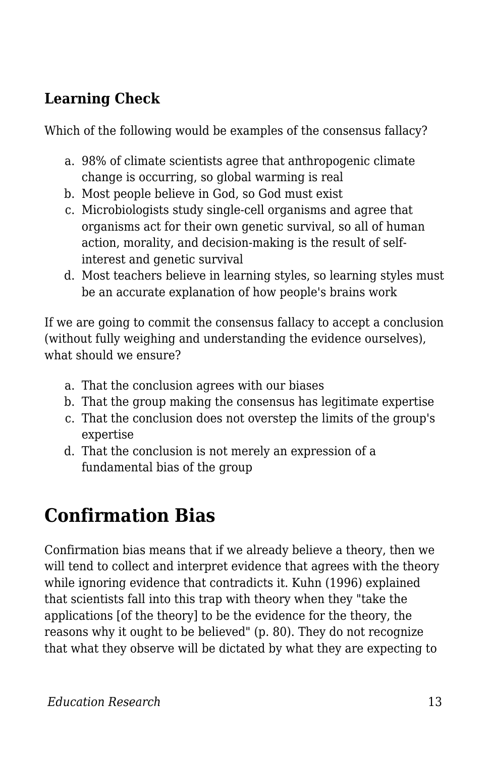### **Learning Check**

Which of the following would be examples of the consensus fallacy?

- a. 98% of climate scientists agree that anthropogenic climate change is occurring, so global warming is real
- b. Most people believe in God, so God must exist
- c. Microbiologists study single-cell organisms and agree that organisms act for their own genetic survival, so all of human action, morality, and decision-making is the result of selfinterest and genetic survival
- d. Most teachers believe in learning styles, so learning styles must be an accurate explanation of how people's brains work

If we are going to commit the consensus fallacy to accept a conclusion (without fully weighing and understanding the evidence ourselves), what should we ensure?

- a. That the conclusion agrees with our biases
- b. That the group making the consensus has legitimate expertise
- c. That the conclusion does not overstep the limits of the group's expertise
- d. That the conclusion is not merely an expression of a fundamental bias of the group

## **Confirmation Bias**

Confirmation bias means that if we already believe a theory, then we will tend to collect and interpret evidence that agrees with the theory while ignoring evidence that contradicts it. Kuhn (1996) explained that scientists fall into this trap with theory when they "take the applications [of the theory] to be the evidence for the theory, the reasons why it ought to be believed" (p. 80). They do not recognize that what they observe will be dictated by what they are expecting to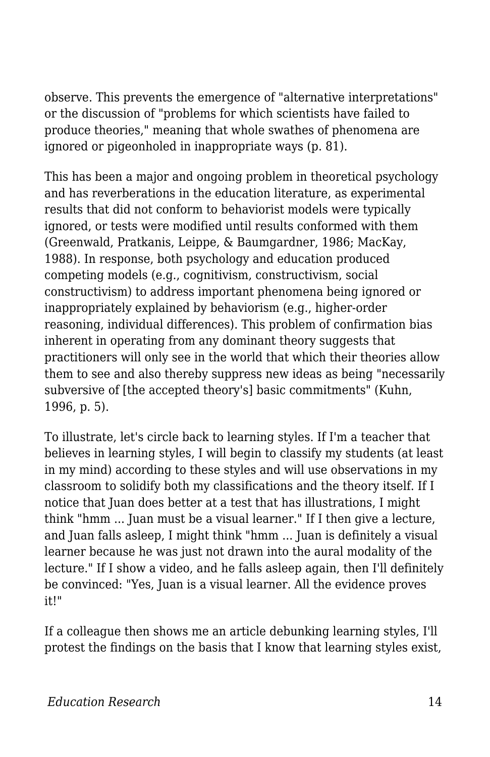observe. This prevents the emergence of "alternative interpretations" or the discussion of "problems for which scientists have failed to produce theories," meaning that whole swathes of phenomena are ignored or pigeonholed in inappropriate ways (p. 81).

This has been a major and ongoing problem in theoretical psychology and has reverberations in the education literature, as experimental results that did not conform to behaviorist models were typically ignored, or tests were modified until results conformed with them (Greenwald, Pratkanis, Leippe, & Baumgardner, 1986; MacKay, 1988). In response, both psychology and education produced competing models (e.g., cognitivism, constructivism, social constructivism) to address important phenomena being ignored or inappropriately explained by behaviorism (e.g., higher-order reasoning, individual differences). This problem of confirmation bias inherent in operating from any dominant theory suggests that practitioners will only see in the world that which their theories allow them to see and also thereby suppress new ideas as being "necessarily subversive of [the accepted theory's] basic commitments" (Kuhn, 1996, p. 5).

To illustrate, let's circle back to learning styles. If I'm a teacher that believes in learning styles, I will begin to classify my students (at least in my mind) according to these styles and will use observations in my classroom to solidify both my classifications and the theory itself. If I notice that Juan does better at a test that has illustrations, I might think "hmm ... Juan must be a visual learner." If I then give a lecture, and Juan falls asleep, I might think "hmm ... Juan is definitely a visual learner because he was just not drawn into the aural modality of the lecture." If I show a video, and he falls asleep again, then I'll definitely be convinced: "Yes, Juan is a visual learner. All the evidence proves it!"

If a colleague then shows me an article debunking learning styles, I'll protest the findings on the basis that I know that learning styles exist,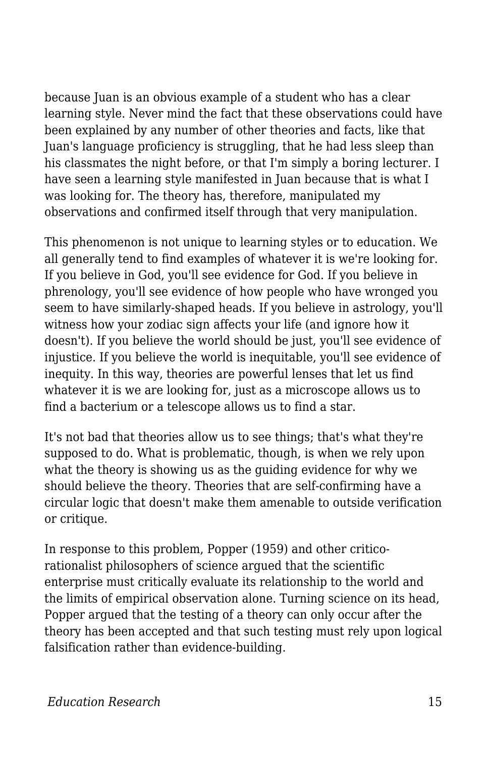because Juan is an obvious example of a student who has a clear learning style. Never mind the fact that these observations could have been explained by any number of other theories and facts, like that Juan's language proficiency is struggling, that he had less sleep than his classmates the night before, or that I'm simply a boring lecturer. I have seen a learning style manifested in Juan because that is what I was looking for. The theory has, therefore, manipulated my observations and confirmed itself through that very manipulation.

This phenomenon is not unique to learning styles or to education. We all generally tend to find examples of whatever it is we're looking for. If you believe in God, you'll see evidence for God. If you believe in phrenology, you'll see evidence of how people who have wronged you seem to have similarly-shaped heads. If you believe in astrology, you'll witness how your zodiac sign affects your life (and ignore how it doesn't). If you believe the world should be just, you'll see evidence of injustice. If you believe the world is inequitable, you'll see evidence of inequity. In this way, theories are powerful lenses that let us find whatever it is we are looking for, just as a microscope allows us to find a bacterium or a telescope allows us to find a star.

It's not bad that theories allow us to see things; that's what they're supposed to do. What is problematic, though, is when we rely upon what the theory is showing us as the guiding evidence for why we should believe the theory. Theories that are self-confirming have a circular logic that doesn't make them amenable to outside verification or critique.

In response to this problem, Popper (1959) and other criticorationalist philosophers of science argued that the scientific enterprise must critically evaluate its relationship to the world and the limits of empirical observation alone. Turning science on its head, Popper argued that the testing of a theory can only occur after the theory has been accepted and that such testing must rely upon logical falsification rather than evidence-building.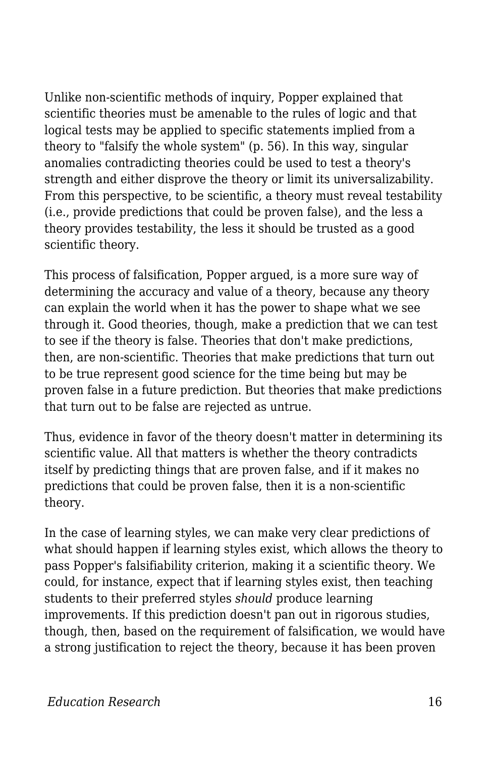Unlike non-scientific methods of inquiry, Popper explained that scientific theories must be amenable to the rules of logic and that logical tests may be applied to specific statements implied from a theory to "falsify the whole system" (p. 56). In this way, singular anomalies contradicting theories could be used to test a theory's strength and either disprove the theory or limit its universalizability. From this perspective, to be scientific, a theory must reveal testability (i.e., provide predictions that could be proven false), and the less a theory provides testability, the less it should be trusted as a good scientific theory.

This process of falsification, Popper argued, is a more sure way of determining the accuracy and value of a theory, because any theory can explain the world when it has the power to shape what we see through it. Good theories, though, make a prediction that we can test to see if the theory is false. Theories that don't make predictions, then, are non-scientific. Theories that make predictions that turn out to be true represent good science for the time being but may be proven false in a future prediction. But theories that make predictions that turn out to be false are rejected as untrue.

Thus, evidence in favor of the theory doesn't matter in determining its scientific value. All that matters is whether the theory contradicts itself by predicting things that are proven false, and if it makes no predictions that could be proven false, then it is a non-scientific theory.

In the case of learning styles, we can make very clear predictions of what should happen if learning styles exist, which allows the theory to pass Popper's falsifiability criterion, making it a scientific theory. We could, for instance, expect that if learning styles exist, then teaching students to their preferred styles *should* produce learning improvements. If this prediction doesn't pan out in rigorous studies, though, then, based on the requirement of falsification, we would have a strong justification to reject the theory, because it has been proven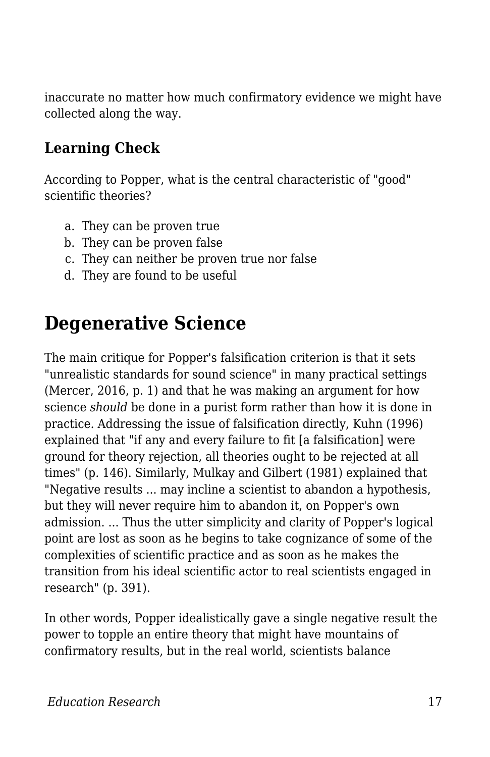inaccurate no matter how much confirmatory evidence we might have collected along the way.

#### **Learning Check**

According to Popper, what is the central characteristic of "good" scientific theories?

- a. They can be proven true
- b. They can be proven false
- c. They can neither be proven true nor false
- d. They are found to be useful

### **Degenerative Science**

The main critique for Popper's falsification criterion is that it sets "unrealistic standards for sound science" in many practical settings (Mercer, 2016, p. 1) and that he was making an argument for how science *should* be done in a purist form rather than how it is done in practice. Addressing the issue of falsification directly, Kuhn (1996) explained that "if any and every failure to fit [a falsification] were ground for theory rejection, all theories ought to be rejected at all times" (p. 146). Similarly, Mulkay and Gilbert (1981) explained that "Negative results ... may incline a scientist to abandon a hypothesis, but they will never require him to abandon it, on Popper's own admission. ... Thus the utter simplicity and clarity of Popper's logical point are lost as soon as he begins to take cognizance of some of the complexities of scientific practice and as soon as he makes the transition from his ideal scientific actor to real scientists engaged in research" (p. 391).

In other words, Popper idealistically gave a single negative result the power to topple an entire theory that might have mountains of confirmatory results, but in the real world, scientists balance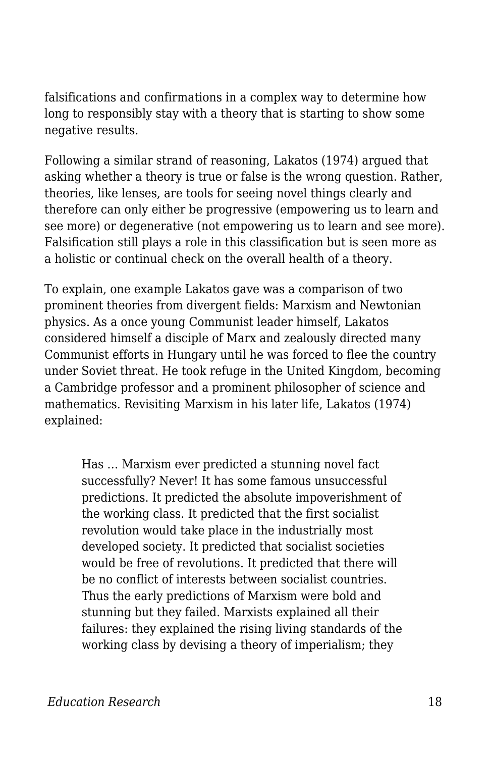falsifications and confirmations in a complex way to determine how long to responsibly stay with a theory that is starting to show some negative results.

Following a similar strand of reasoning, Lakatos (1974) argued that asking whether a theory is true or false is the wrong question. Rather, theories, like lenses, are tools for seeing novel things clearly and therefore can only either be progressive (empowering us to learn and see more) or degenerative (not empowering us to learn and see more). Falsification still plays a role in this classification but is seen more as a holistic or continual check on the overall health of a theory.

To explain, one example Lakatos gave was a comparison of two prominent theories from divergent fields: Marxism and Newtonian physics. As a once young Communist leader himself, Lakatos considered himself a disciple of Marx and zealously directed many Communist efforts in Hungary until he was forced to flee the country under Soviet threat. He took refuge in the United Kingdom, becoming a Cambridge professor and a prominent philosopher of science and mathematics. Revisiting Marxism in his later life, Lakatos (1974) explained:

Has … Marxism ever predicted a stunning novel fact successfully? Never! It has some famous unsuccessful predictions. It predicted the absolute impoverishment of the working class. It predicted that the first socialist revolution would take place in the industrially most developed society. It predicted that socialist societies would be free of revolutions. It predicted that there will be no conflict of interests between socialist countries. Thus the early predictions of Marxism were bold and stunning but they failed. Marxists explained all their failures: they explained the rising living standards of the working class by devising a theory of imperialism; they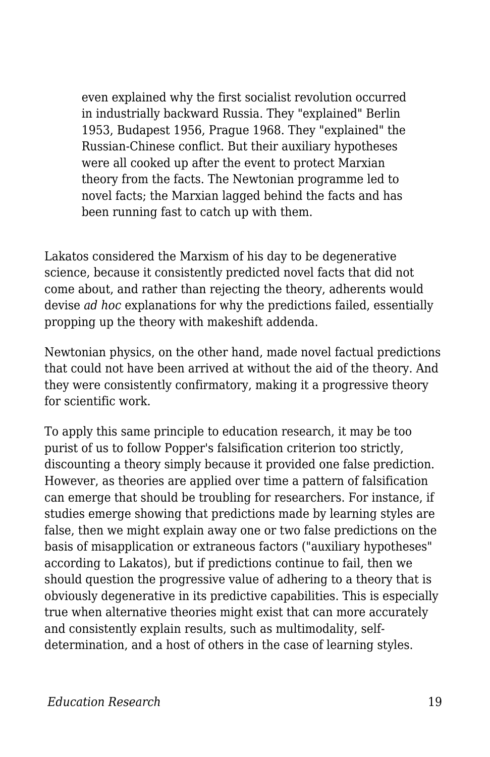even explained why the first socialist revolution occurred in industrially backward Russia. They "explained" Berlin 1953, Budapest 1956, Prague 1968. They "explained" the Russian-Chinese conflict. But their auxiliary hypotheses were all cooked up after the event to protect Marxian theory from the facts. The Newtonian programme led to novel facts; the Marxian lagged behind the facts and has been running fast to catch up with them.

Lakatos considered the Marxism of his day to be degenerative science, because it consistently predicted novel facts that did not come about, and rather than rejecting the theory, adherents would devise *ad hoc* explanations for why the predictions failed, essentially propping up the theory with makeshift addenda.

Newtonian physics, on the other hand, made novel factual predictions that could not have been arrived at without the aid of the theory. And they were consistently confirmatory, making it a progressive theory for scientific work.

To apply this same principle to education research, it may be too purist of us to follow Popper's falsification criterion too strictly, discounting a theory simply because it provided one false prediction. However, as theories are applied over time a pattern of falsification can emerge that should be troubling for researchers. For instance, if studies emerge showing that predictions made by learning styles are false, then we might explain away one or two false predictions on the basis of misapplication or extraneous factors ("auxiliary hypotheses" according to Lakatos), but if predictions continue to fail, then we should question the progressive value of adhering to a theory that is obviously degenerative in its predictive capabilities. This is especially true when alternative theories might exist that can more accurately and consistently explain results, such as multimodality, selfdetermination, and a host of others in the case of learning styles.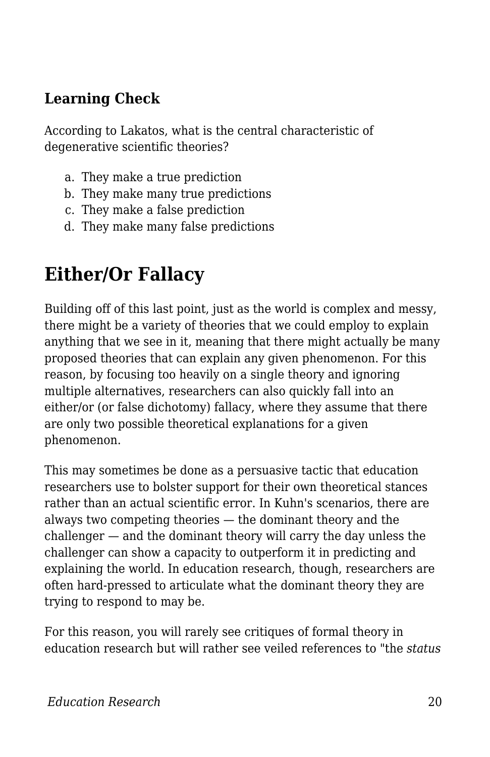#### **Learning Check**

According to Lakatos, what is the central characteristic of degenerative scientific theories?

- a. They make a true prediction
- b. They make many true predictions
- c. They make a false prediction
- d. They make many false predictions

### **Either/Or Fallacy**

Building off of this last point, just as the world is complex and messy, there might be a variety of theories that we could employ to explain anything that we see in it, meaning that there might actually be many proposed theories that can explain any given phenomenon. For this reason, by focusing too heavily on a single theory and ignoring multiple alternatives, researchers can also quickly fall into an either/or (or false dichotomy) fallacy, where they assume that there are only two possible theoretical explanations for a given phenomenon.

This may sometimes be done as a persuasive tactic that education researchers use to bolster support for their own theoretical stances rather than an actual scientific error. In Kuhn's scenarios, there are always two competing theories — the dominant theory and the challenger — and the dominant theory will carry the day unless the challenger can show a capacity to outperform it in predicting and explaining the world. In education research, though, researchers are often hard-pressed to articulate what the dominant theory they are trying to respond to may be.

For this reason, you will rarely see critiques of formal theory in education research but will rather see veiled references to "the *status*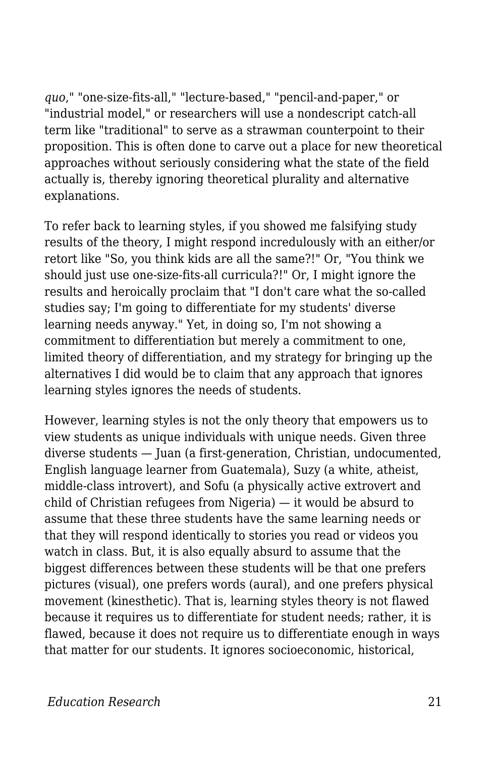*quo*," "one-size-fits-all," "lecture-based," "pencil-and-paper," or "industrial model," or researchers will use a nondescript catch-all term like "traditional" to serve as a strawman counterpoint to their proposition. This is often done to carve out a place for new theoretical approaches without seriously considering what the state of the field actually is, thereby ignoring theoretical plurality and alternative explanations.

To refer back to learning styles, if you showed me falsifying study results of the theory, I might respond incredulously with an either/or retort like "So, you think kids are all the same?!" Or, "You think we should just use one-size-fits-all curricula?!" Or, I might ignore the results and heroically proclaim that "I don't care what the so-called studies say; I'm going to differentiate for my students' diverse learning needs anyway." Yet, in doing so, I'm not showing a commitment to differentiation but merely a commitment to one, limited theory of differentiation, and my strategy for bringing up the alternatives I did would be to claim that any approach that ignores learning styles ignores the needs of students.

However, learning styles is not the only theory that empowers us to view students as unique individuals with unique needs. Given three diverse students — Juan (a first-generation, Christian, undocumented, English language learner from Guatemala), Suzy (a white, atheist, middle-class introvert), and Sofu (a physically active extrovert and child of Christian refugees from Nigeria) — it would be absurd to assume that these three students have the same learning needs or that they will respond identically to stories you read or videos you watch in class. But, it is also equally absurd to assume that the biggest differences between these students will be that one prefers pictures (visual), one prefers words (aural), and one prefers physical movement (kinesthetic). That is, learning styles theory is not flawed because it requires us to differentiate for student needs; rather, it is flawed, because it does not require us to differentiate enough in ways that matter for our students. It ignores socioeconomic, historical,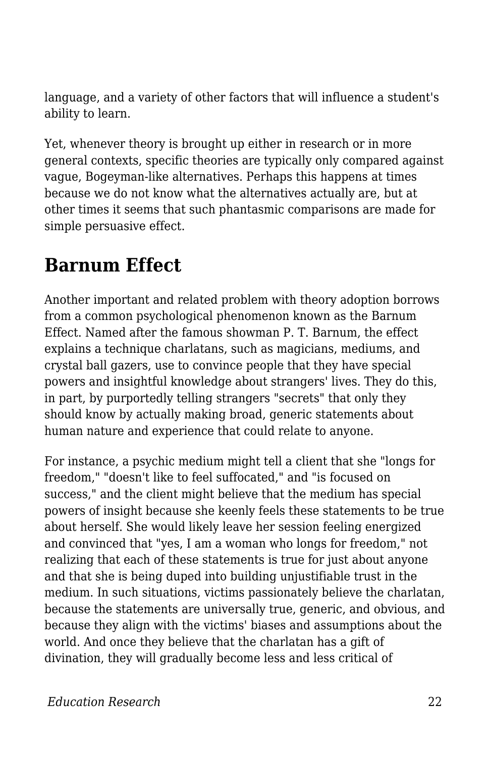language, and a variety of other factors that will influence a student's ability to learn.

Yet, whenever theory is brought up either in research or in more general contexts, specific theories are typically only compared against vague, Bogeyman-like alternatives. Perhaps this happens at times because we do not know what the alternatives actually are, but at other times it seems that such phantasmic comparisons are made for simple persuasive effect.

### **Barnum Effect**

Another important and related problem with theory adoption borrows from a common psychological phenomenon known as the Barnum Effect. Named after the famous showman P. T. Barnum, the effect explains a technique charlatans, such as magicians, mediums, and crystal ball gazers, use to convince people that they have special powers and insightful knowledge about strangers' lives. They do this, in part, by purportedly telling strangers "secrets" that only they should know by actually making broad, generic statements about human nature and experience that could relate to anyone.

For instance, a psychic medium might tell a client that she "longs for freedom," "doesn't like to feel suffocated," and "is focused on success," and the client might believe that the medium has special powers of insight because she keenly feels these statements to be true about herself. She would likely leave her session feeling energized and convinced that "yes, I am a woman who longs for freedom," not realizing that each of these statements is true for just about anyone and that she is being duped into building unjustifiable trust in the medium. In such situations, victims passionately believe the charlatan, because the statements are universally true, generic, and obvious, and because they align with the victims' biases and assumptions about the world. And once they believe that the charlatan has a gift of divination, they will gradually become less and less critical of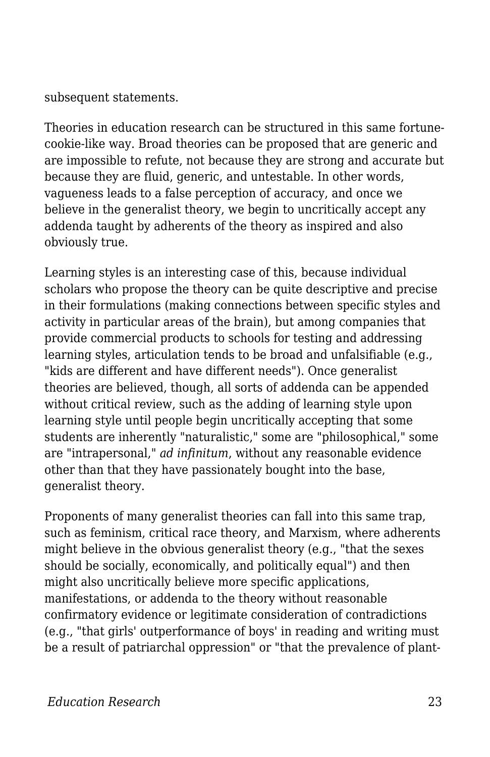subsequent statements.

Theories in education research can be structured in this same fortunecookie-like way. Broad theories can be proposed that are generic and are impossible to refute, not because they are strong and accurate but because they are fluid, generic, and untestable. In other words, vagueness leads to a false perception of accuracy, and once we believe in the generalist theory, we begin to uncritically accept any addenda taught by adherents of the theory as inspired and also obviously true.

Learning styles is an interesting case of this, because individual scholars who propose the theory can be quite descriptive and precise in their formulations (making connections between specific styles and activity in particular areas of the brain), but among companies that provide commercial products to schools for testing and addressing learning styles, articulation tends to be broad and unfalsifiable (e.g., "kids are different and have different needs"). Once generalist theories are believed, though, all sorts of addenda can be appended without critical review, such as the adding of learning style upon learning style until people begin uncritically accepting that some students are inherently "naturalistic," some are "philosophical," some are "intrapersonal," *ad infinitum*, without any reasonable evidence other than that they have passionately bought into the base, generalist theory.

Proponents of many generalist theories can fall into this same trap, such as feminism, critical race theory, and Marxism, where adherents might believe in the obvious generalist theory (e.g., "that the sexes should be socially, economically, and politically equal") and then might also uncritically believe more specific applications, manifestations, or addenda to the theory without reasonable confirmatory evidence or legitimate consideration of contradictions (e.g., "that girls' outperformance of boys' in reading and writing must be a result of patriarchal oppression" or "that the prevalence of plant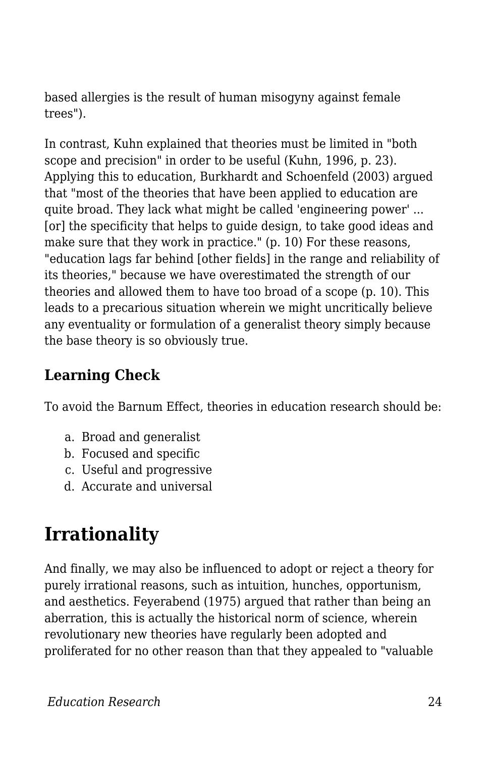based allergies is the result of human misogyny against female trees").

In contrast, Kuhn explained that theories must be limited in "both scope and precision" in order to be useful (Kuhn, 1996, p. 23). Applying this to education, Burkhardt and Schoenfeld (2003) argued that "most of the theories that have been applied to education are quite broad. They lack what might be called 'engineering power' ... [or] the specificity that helps to guide design, to take good ideas and make sure that they work in practice." (p. 10) For these reasons, "education lags far behind [other fields] in the range and reliability of its theories," because we have overestimated the strength of our theories and allowed them to have too broad of a scope (p. 10). This leads to a precarious situation wherein we might uncritically believe any eventuality or formulation of a generalist theory simply because the base theory is so obviously true.

### **Learning Check**

To avoid the Barnum Effect, theories in education research should be:

- a. Broad and generalist
- b. Focused and specific
- c. Useful and progressive
- d. Accurate and universal

## **Irrationality**

And finally, we may also be influenced to adopt or reject a theory for purely irrational reasons, such as intuition, hunches, opportunism, and aesthetics. Feyerabend (1975) argued that rather than being an aberration, this is actually the historical norm of science, wherein revolutionary new theories have regularly been adopted and proliferated for no other reason than that they appealed to "valuable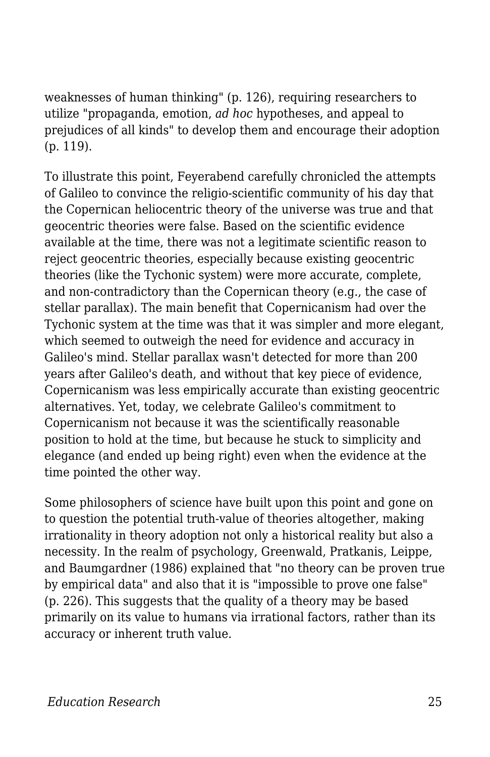weaknesses of human thinking" (p. 126), requiring researchers to utilize "propaganda, emotion, *ad hoc* hypotheses, and appeal to prejudices of all kinds" to develop them and encourage their adoption (p. 119).

To illustrate this point, Feyerabend carefully chronicled the attempts of Galileo to convince the religio-scientific community of his day that the Copernican heliocentric theory of the universe was true and that geocentric theories were false. Based on the scientific evidence available at the time, there was not a legitimate scientific reason to reject geocentric theories, especially because existing geocentric theories (like the Tychonic system) were more accurate, complete, and non-contradictory than the Copernican theory (e.g., the case of stellar parallax). The main benefit that Copernicanism had over the Tychonic system at the time was that it was simpler and more elegant, which seemed to outweigh the need for evidence and accuracy in Galileo's mind. Stellar parallax wasn't detected for more than 200 years after Galileo's death, and without that key piece of evidence, Copernicanism was less empirically accurate than existing geocentric alternatives. Yet, today, we celebrate Galileo's commitment to Copernicanism not because it was the scientifically reasonable position to hold at the time, but because he stuck to simplicity and elegance (and ended up being right) even when the evidence at the time pointed the other way.

Some philosophers of science have built upon this point and gone on to question the potential truth-value of theories altogether, making irrationality in theory adoption not only a historical reality but also a necessity. In the realm of psychology, Greenwald, Pratkanis, Leippe, and Baumgardner (1986) explained that "no theory can be proven true by empirical data" and also that it is "impossible to prove one false" (p. 226). This suggests that the quality of a theory may be based primarily on its value to humans via irrational factors, rather than its accuracy or inherent truth value.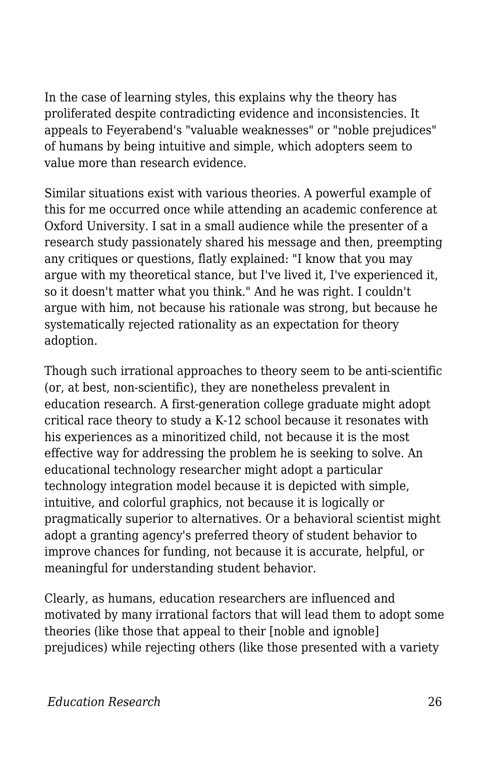In the case of learning styles, this explains why the theory has proliferated despite contradicting evidence and inconsistencies. It appeals to Feyerabend's "valuable weaknesses" or "noble prejudices" of humans by being intuitive and simple, which adopters seem to value more than research evidence.

Similar situations exist with various theories. A powerful example of this for me occurred once while attending an academic conference at Oxford University. I sat in a small audience while the presenter of a research study passionately shared his message and then, preempting any critiques or questions, flatly explained: "I know that you may argue with my theoretical stance, but I've lived it, I've experienced it, so it doesn't matter what you think." And he was right. I couldn't argue with him, not because his rationale was strong, but because he systematically rejected rationality as an expectation for theory adoption.

Though such irrational approaches to theory seem to be anti-scientific (or, at best, non-scientific), they are nonetheless prevalent in education research. A first-generation college graduate might adopt critical race theory to study a K-12 school because it resonates with his experiences as a minoritized child, not because it is the most effective way for addressing the problem he is seeking to solve. An educational technology researcher might adopt a particular technology integration model because it is depicted with simple, intuitive, and colorful graphics, not because it is logically or pragmatically superior to alternatives. Or a behavioral scientist might adopt a granting agency's preferred theory of student behavior to improve chances for funding, not because it is accurate, helpful, or meaningful for understanding student behavior.

Clearly, as humans, education researchers are influenced and motivated by many irrational factors that will lead them to adopt some theories (like those that appeal to their [noble and ignoble] prejudices) while rejecting others (like those presented with a variety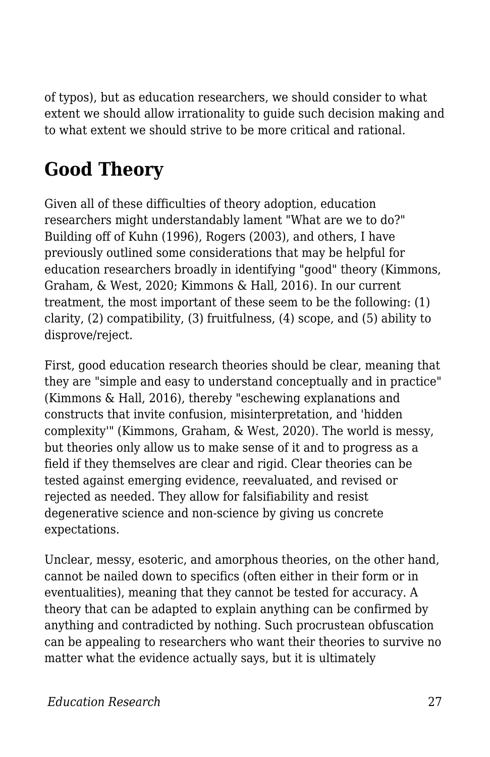of typos), but as education researchers, we should consider to what extent we should allow irrationality to guide such decision making and to what extent we should strive to be more critical and rational.

## **Good Theory**

Given all of these difficulties of theory adoption, education researchers might understandably lament "What are we to do?" Building off of Kuhn (1996), Rogers (2003), and others, I have previously outlined some considerations that may be helpful for education researchers broadly in identifying "good" theory (Kimmons, Graham, & West, 2020; Kimmons & Hall, 2016). In our current treatment, the most important of these seem to be the following: (1) clarity, (2) compatibility, (3) fruitfulness, (4) scope, and (5) ability to disprove/reject.

First, good education research theories should be clear, meaning that they are "simple and easy to understand conceptually and in practice" (Kimmons & Hall, 2016), thereby "eschewing explanations and constructs that invite confusion, misinterpretation, and 'hidden complexity'" (Kimmons, Graham, & West, 2020). The world is messy, but theories only allow us to make sense of it and to progress as a field if they themselves are clear and rigid. Clear theories can be tested against emerging evidence, reevaluated, and revised or rejected as needed. They allow for falsifiability and resist degenerative science and non-science by giving us concrete expectations.

Unclear, messy, esoteric, and amorphous theories, on the other hand, cannot be nailed down to specifics (often either in their form or in eventualities), meaning that they cannot be tested for accuracy. A theory that can be adapted to explain anything can be confirmed by anything and contradicted by nothing. Such procrustean obfuscation can be appealing to researchers who want their theories to survive no matter what the evidence actually says, but it is ultimately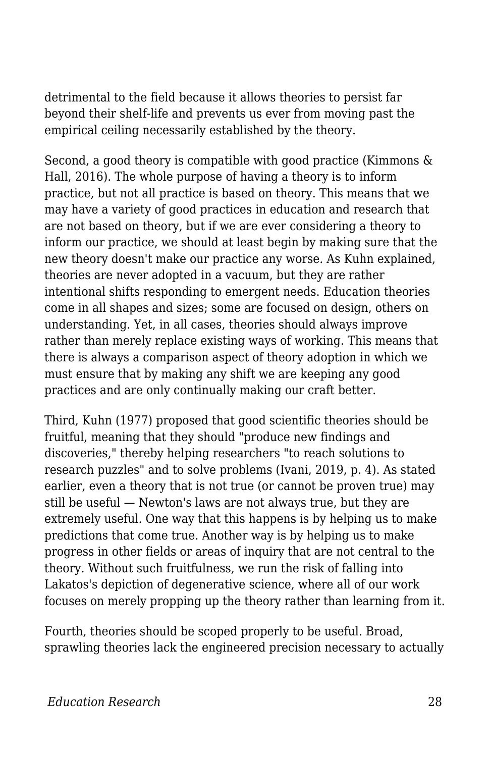detrimental to the field because it allows theories to persist far beyond their shelf-life and prevents us ever from moving past the empirical ceiling necessarily established by the theory.

Second, a good theory is compatible with good practice (Kimmons & Hall, 2016). The whole purpose of having a theory is to inform practice, but not all practice is based on theory. This means that we may have a variety of good practices in education and research that are not based on theory, but if we are ever considering a theory to inform our practice, we should at least begin by making sure that the new theory doesn't make our practice any worse. As Kuhn explained, theories are never adopted in a vacuum, but they are rather intentional shifts responding to emergent needs. Education theories come in all shapes and sizes; some are focused on design, others on understanding. Yet, in all cases, theories should always improve rather than merely replace existing ways of working. This means that there is always a comparison aspect of theory adoption in which we must ensure that by making any shift we are keeping any good practices and are only continually making our craft better.

Third, Kuhn (1977) proposed that good scientific theories should be fruitful, meaning that they should "produce new findings and discoveries," thereby helping researchers "to reach solutions to research puzzles" and to solve problems (Ivani, 2019, p. 4). As stated earlier, even a theory that is not true (or cannot be proven true) may still be useful — Newton's laws are not always true, but they are extremely useful. One way that this happens is by helping us to make predictions that come true. Another way is by helping us to make progress in other fields or areas of inquiry that are not central to the theory. Without such fruitfulness, we run the risk of falling into Lakatos's depiction of degenerative science, where all of our work focuses on merely propping up the theory rather than learning from it.

Fourth, theories should be scoped properly to be useful. Broad, sprawling theories lack the engineered precision necessary to actually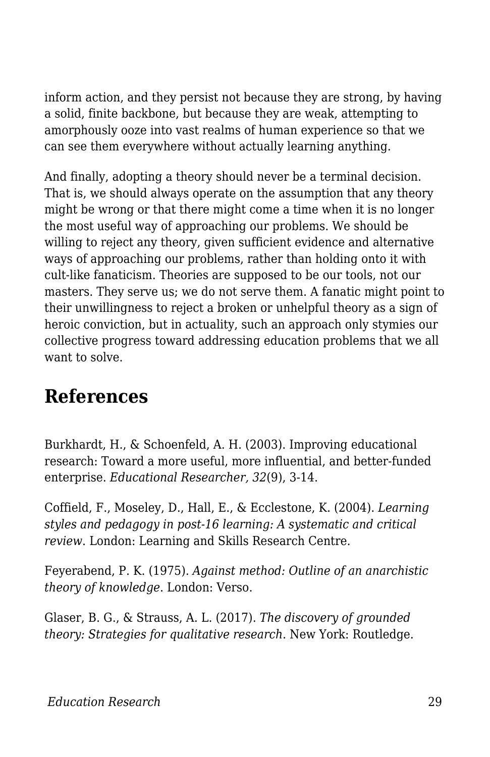inform action, and they persist not because they are strong, by having a solid, finite backbone, but because they are weak, attempting to amorphously ooze into vast realms of human experience so that we can see them everywhere without actually learning anything.

And finally, adopting a theory should never be a terminal decision. That is, we should always operate on the assumption that any theory might be wrong or that there might come a time when it is no longer the most useful way of approaching our problems. We should be willing to reject any theory, given sufficient evidence and alternative ways of approaching our problems, rather than holding onto it with cult-like fanaticism. Theories are supposed to be our tools, not our masters. They serve us; we do not serve them. A fanatic might point to their unwillingness to reject a broken or unhelpful theory as a sign of heroic conviction, but in actuality, such an approach only stymies our collective progress toward addressing education problems that we all want to solve.

### **References**

Burkhardt, H., & Schoenfeld, A. H. (2003). Improving educational research: Toward a more useful, more influential, and better-funded enterprise. *Educational Researcher, 32*(9), 3-14.

Coffield, F., Moseley, D., Hall, E., & Ecclestone, K. (2004). *Learning styles and pedagogy in post-16 learning: A systematic and critical review*. London: Learning and Skills Research Centre.

Feyerabend, P. K. (1975). *Against method: Outline of an anarchistic theory of knowledge*. London: Verso.

Glaser, B. G., & Strauss, A. L. (2017). *The discovery of grounded theory: Strategies for qualitative research*. New York: Routledge.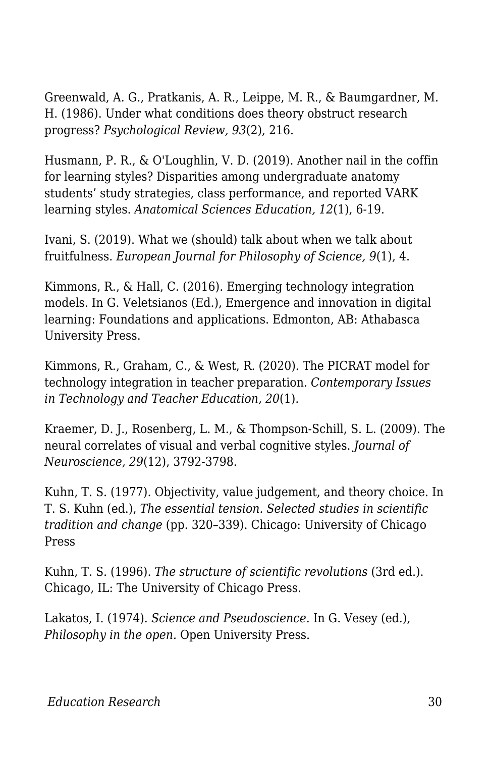Greenwald, A. G., Pratkanis, A. R., Leippe, M. R., & Baumgardner, M. H. (1986). Under what conditions does theory obstruct research progress? *Psychological Review, 93*(2), 216.

Husmann, P. R., & O'Loughlin, V. D. (2019). Another nail in the coffin for learning styles? Disparities among undergraduate anatomy students' study strategies, class performance, and reported VARK learning styles. *Anatomical Sciences Education, 12*(1), 6-19.

Ivani, S. (2019). What we (should) talk about when we talk about fruitfulness. *European Journal for Philosophy of Science, 9*(1), 4.

Kimmons, R., & Hall, C. (2016). Emerging technology integration models. In G. Veletsianos (Ed.), Emergence and innovation in digital learning: Foundations and applications. Edmonton, AB: Athabasca University Press.

Kimmons, R., Graham, C., & West, R. (2020). The PICRAT model for technology integration in teacher preparation. *Contemporary Issues in Technology and Teacher Education, 20*(1).

Kraemer, D. J., Rosenberg, L. M., & Thompson-Schill, S. L. (2009). The neural correlates of visual and verbal cognitive styles. *Journal of Neuroscience, 29*(12), 3792-3798.

Kuhn, T. S. (1977). Objectivity, value judgement, and theory choice. In T. S. Kuhn (ed.), *The essential tension. Selected studies in scientific tradition and change* (pp. 320–339). Chicago: University of Chicago Press

Kuhn, T. S. (1996). *The structure of scientific revolutions* (3rd ed.). Chicago, IL: The University of Chicago Press.

Lakatos, I. (1974). *Science and Pseudoscience*. In G. Vesey (ed.), *Philosophy in the open.* Open University Press.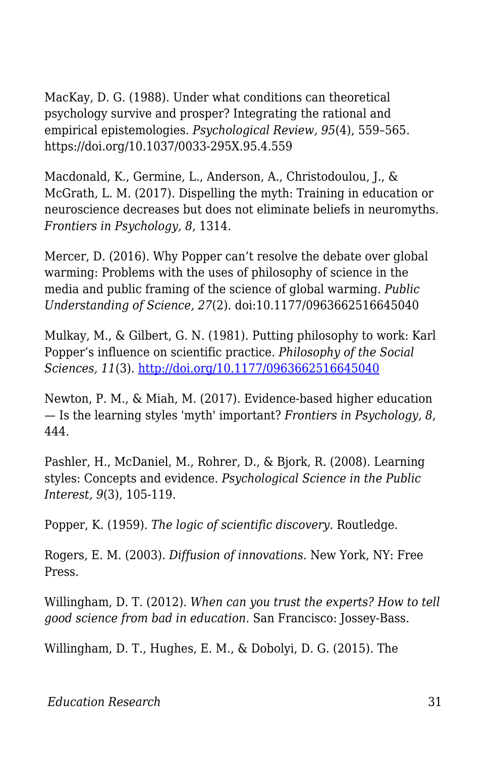MacKay, D. G. (1988). Under what conditions can theoretical psychology survive and prosper? Integrating the rational and empirical epistemologies. *Psychological Review, 95*(4), 559–565. https://doi.org/10.1037/0033-295X.95.4.559

Macdonald, K., Germine, L., Anderson, A., Christodoulou, J., & McGrath, L. M. (2017). Dispelling the myth: Training in education or neuroscience decreases but does not eliminate beliefs in neuromyths. *Frontiers in Psychology, 8*, 1314.

Mercer, D. (2016). Why Popper can't resolve the debate over global warming: Problems with the uses of philosophy of science in the media and public framing of the science of global warming. *Public Understanding of Science, 27*(2). doi:10.1177/0963662516645040

Mulkay, M., & Gilbert, G. N. (1981). Putting philosophy to work: Karl Popper's influence on scientific practice. *Philosophy of the Social Sciences, 11*(3). <http://doi.org/10.1177/0963662516645040>

Newton, P. M., & Miah, M. (2017). Evidence-based higher education — Is the learning styles 'myth' important? *Frontiers in Psychology, 8*, 444.

Pashler, H., McDaniel, M., Rohrer, D., & Bjork, R. (2008). Learning styles: Concepts and evidence. *Psychological Science in the Public Interest, 9*(3), 105-119.

Popper, K. (1959). *The logic of scientific discovery*. Routledge.

Rogers, E. M. (2003). *Diffusion of innovations*. New York, NY: Free Press.

Willingham, D. T. (2012). *When can you trust the experts? How to tell good science from bad in education*. San Francisco: Jossey-Bass.

Willingham, D. T., Hughes, E. M., & Dobolyi, D. G. (2015). The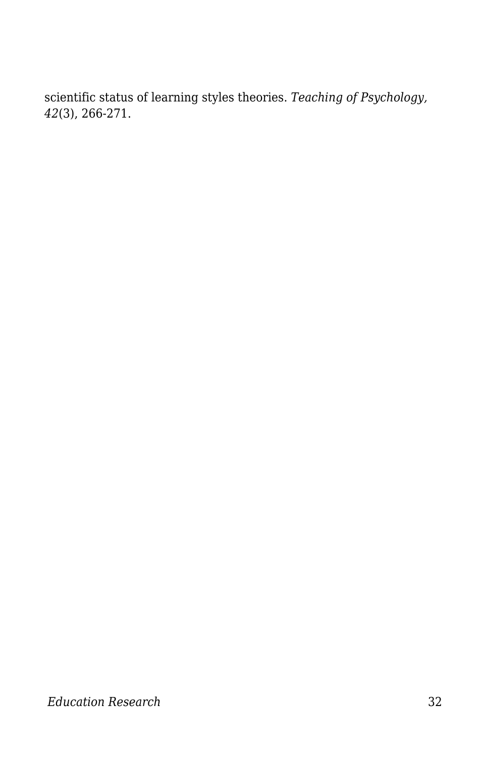scientific status of learning styles theories. *Teaching of Psychology, 42*(3), 266-271.